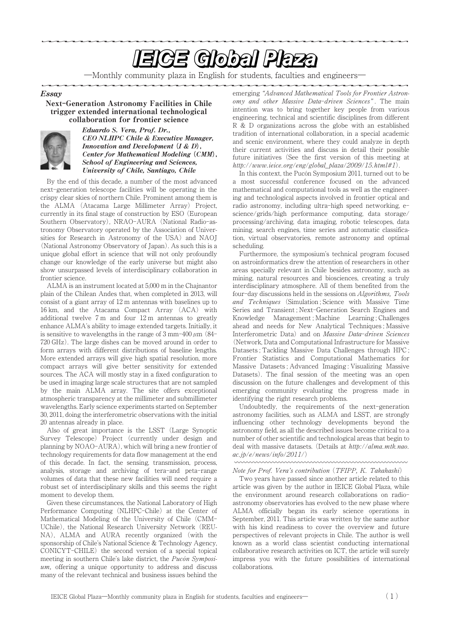# **IEICE GIobal Plaza**

―Monthly community plaza in English for students, faculties and engineers―

#### Essay

Next**-**Generation Astronomy Facilities in Chile trigger extended international technological collaboration for frontier science



Eduardo S. Vera, Prof. Dr., CEO NLHPC Chile & Executive Manager, Innovation and Development **(**I&D**)**, Center for Mathematical Modeling **(**CMM**)**, School of Engineering and Sciences, University of Chile, Santiago, Chile

By the end of this decade, a number of the most advanced next-generation telescope facilities will be operating in the crispy clear skies of northern Chile. Prominent among them is the ALMA (Atacama Large Millimeter Array) Project, currently in its final stage of construction by ESO (European Southern Observatory), NRAO-AURA (National Radio-astronomy Observatory operated by the Association of Universities for Research in Astronomy of the USA) and NAOJ (National Astronomy Observatory of Japan). As such this is a unique global effort in science that will not only profoundly change our knowledge of the early universe but might also show unsurpassed levels of interdisciplinary collaboration in frontier science.

ALMA is an instrument located at 5,000 m in the Chajnantor plain of the Chilean Andes that, when completed in 2013, will consist of a giant array of 12 m antennas with baselines up to 16 km, and the Atacama Compact Array (ACA) with additional twelve 7 m and four 12 m antennas to greatly enhance ALMA's ability to image extended targets. Initially, it is sensitive to wavelengths in the range of 3 mm-400 *μ*m (84- 720 GHz). The large dishes can be moved around in order to form arrays with different distributions of baseline lengths. More extended arrays will give high spatial resolution, more compact arrays will give better sensitivity for extended sources. The ACA will mostly stay in a fixed configuration to be used in imaging large scale structures that are not sampled by the main ALMA array. The site offers exceptional atmospheric transparency at the millimeter and submillimeter wavelengths. Early science experiments started on September 30, 2011, doing the interferometric observations with the initial 20 antennas already in place.

Also of great importance is the LSST (Large Synoptic Survey Telescope) Project (currently under design and planning by NOAO-AURA), which will bring a new frontier of technology requirements for data flow management at the end of this decade. In fact, the sensing, transmission, process, analysis, storage and archiving of tera-and peta-range volumes of data that these new facilities will need require a robust set of interdisciplinary skills and this seems the right moment to develop them.

Given these circumstances, the National Laboratory of High Performance Computing (NLHPC-Chile) at the Center of Mathematical Modeling of the University of Chile (CMM-UChile), the National Research University Network (REU-NA), ALMA and AURA recently organized (with the sponsorship of Chile's National Science & Technology Agency, CONICYT-CHILE) the second version of a special topical meeting in southern Chile's lake district, the Pucón Symposi $um$ , offering a unique opportunity to address and discuss many of the relevant technical and business issues behind the emerging "Advanced Mathematical Tools for Frontier Astronomy and other Massive Data-driven Sciences". The main intention was to bring together key people from various engineering, technical and scientific disciplines from different R & D organizations across the globe with an established tradition of international collaboration, in a special academic and scenic environment, where they could analyze in depth their current activities and discuss in detail their possible future initiatives (See the first version of this meeting at http://www.ieice.org/eng/global\_plaza/2009/15.html#1).

In this context, the Pucón Symposium 2011, turned out to be a most successful conference focused on the advanced mathematical and computational tools as well as the engineering and technological aspects involved in frontier optical and radio astronomy, including ultra-high speed networking, escience/grids/high performance computing, data storage/ processing/archiving, data imaging, robotic telescopes, data mining, search engines, time series and automatic classification, virtual observatories, remote astronomy and optimal scheduling.

Furthermore, the symposium's technical program focused on astroinformatics drew the attention of researchers in other areas specially relevant in Chile besides astronomy, such as mining, natural resources and biosciences, creating a truly interdisciplinary atmosphere. All of them benefited from the four-day discussions held in the sessions on Algorithms, Tools and Techniques (Simulation ; Science with Massive Time Series and Transient ; Next-Generation Search Engines and Knowledge Management ; Machine Learning ; Challenges ahead and needs for New Analytical Techniques ; Massive Interferometric Data) and on Massive Data-driven Sciences (Network, Data and Computational Infrastructure for Massive Datasets ; Tackling Massive Data Challenges through HPC ; Frontier Statistics and Computational Mathematics for Massive Datasets ; Advanced Imaging : Visualizing Massive Datasets). The final session of the meeting was an open discussion on the future challenges and development of this emerging community evaluating the progress made in identifying the right research problems.

Undoubtedly, the requirements of the next-generation astronomy facilities, such as ALMA and LSST, are strongly influencing other technology developments beyond the astronomy field, as all the described issues become critical to a number of other scientific and technological areas that begin to deal with massive datasets. (Details at http://alma.mtk.nao. ac.jp/e/news/info/2011/)

#### *mmmmmmmmmmmmmmmm* Note for Prof. Vera's contribution (TFIPP, K. Takahashi)

Two years have passed since another article related to this article was given by the author in IEICE Global Plaza, while the environment around research collaborations on radioastronomy observatories has evolved to the new phase where ALMA officially began its early science operations in September, 2011. This article was written by the same author with his kind readiness to cover the overview and future perspectives of relevant projects in Chile. The author is well known as a world class scientist conducting international collaborative research activities on ICT, the article will surely impress you with the future possibilities of international collaborations.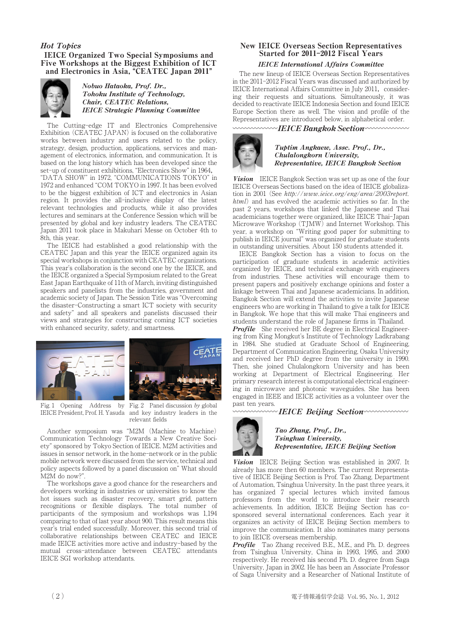## Hot Topics

IEICE Organized Two Special Symposiums and Five Workshops at the Biggest Exhibition of ICT and Electronics in Asia, **"**CEATEC Japan 2011**"**



Nobuo Hataoka, Prof. Dr., Tohoku Institute of Technology, Chair, CEATEC Relations, IEICE Strategic Planning Committee

The Cutting-edge IT and Electronics Comprehensive Exhibition (CEATEC JAPAN) is focused on the collaborative works between industry and users related to the policy, strategy, design, production, applications, services and management of electronics, information, and communication. It is based on the long history which has been developed since the set-up of constituent exhibitions, "Electronics Show" in 1964**,** "DATA SHOW" in 1972, "COMMUNICATIONS TOKYO" in 1972 and enhanced "COM TOKYO in 1997. It has been evolved to be the biggest exhibition of ICT and electronics in Asian region. It provides the all-inclusive display of the latest relevant technologies and products, while it also provides lectures and seminars at the Conference Session which will be presented by global and key industry leaders. The CEATEC Japan 2011 took place in Makuhari Messe on October 4th to 8th, this year.

The IEICE had established a good relationship with the CEATEC Japan and this year the IEICE organized again its special workshops in conjunction with CEATEC organizations. This year's collaboration is the second one by the IEICE, and the IEICE organized a Special Symposium related to the Great East Japan Earthquake of 11th of March, inviting distinguished speakers and panelists from the industries, government and academic society of Japan. The Session Title was "Overcoming the disaster-Constructing a smart ICT society with security and safety" and all speakers and panelists discussed their views and strategies for constructing coming ICT societies with enhanced security, safety, and smartness.





Fig. 1 Opening Address by Fig. 2 Panel discussion by global IEICE President, Prof. H. Yasuda and key industry leaders in the relevant fields

Another symposium was "M2M (Machine to Machine) Communication Technology Towards a New Creative Society" sponsored by Tokyo Section of IEICE. M2M activities and issues in sensor network, in the home-network or in the public mobile network were discussed from the service, technical and policy aspects followed by a panel discussion on" What should M2M do now?".

The workshops gave a good chance for the researchers and developers working in industries or universities to know the hot issues such as disaster recovery, smart grid, pattern recognitions or flexible displays. The total number of participants of the symposium and workshops was 1,194 comparing to that of last year about 900. This result means this year's trial ended successfully. Moreover, this second trial of collaborative relationships between CEATEC and IEICE made IEICE activities more active and industry-based by the mutual cross-attendance between CEATEC attendants IEICE SGI workshop attendants.

### New IEICE Overseas Section Representatives Started for 2011**-**2012 Fiscal Years IEICE International Affairs Committee

The new lineup of IEICE Overseas Section Representatives in the 2011-2012 Fiscal Years was discussed and authorized by IEICE International Affairs Committee in July 2011, considering their requests and situations. Simultaneously, it was decided to reactivate IEICE Indonesia Section and found IEICE Europe Section there as well. The vision and profile of the Representatives are introduced below, in alphabetical order. Representatives are introduced below, in alphabetical order.<br>
Section Manufacture of the Indian Section



#### Tuptim Angkaew, Assc. Prof., Dr., Chulalongkorn University, Representative, IEICE Bangkok Section

Vision IEICE Bangkok Section was set up as one of the four IEICE Overseas Sections based on the idea of IEICE globalization in 2001 (See http://www.ieice.org/eng/area/2003report. html) and has evolved the academic activities so far. In the past 2 years, workshops that linked the Japanese and Thai academicians together were organized, like IEICE Thai-Japan Microwave Workshop (TJMW) and Internet Workshop. This year, a workshop on "Writing good paper for submitting to publish in IEICE journal" was organized for graduate students in outstanding universities. About 150 students attended it.

IEICE Bangkok Section has a vision to focus on the participation of graduate students in academic activities organized by IEICE, and technical exchange with engineers from industries. These activities will encourage them to present papers and positively exchange opinions and foster a linkage between Thai and Japanese academicians. In addition, Bangkok Section will extend the activities to invite Japanese engineers who are working in Thailand to give a talk for IEICE in Bangkok. We hope that this will make Thai engineers and students understand the role of Japanese firms in Thailand.

**Profile** She received her BE degree in Electrical Engineering from King Mongkut's Institute of Technology Ladkrabang in 1984. She studied at Graduate School of Engineering, Department of Communication Engineering, Osaka University and received her PhD degree from the university in 1990. Then, she joined Chulalongkorn University and has been working at Department of Electrical Engineering. Her primary research interest is computational electrical engineering in microwave and photonic waveguides. She has been engaged in IEEE and IEICE activities as a volunteer over the past ten years.

## ㍇㍇㍇㍇㍇㍇㍇ ㍇㍇㍇㍇㍇㍇㍇ IEICE Beijing Section



Tao Zhang, Prof., Dr., Tsinghua University, Representative, IEICE Beijing Section

Vision IEICE Beijing Section was established in 2007. It already has more then 60 members. The current Representative of IEICE Beijing Section is Prof. Tao Zhang, Department of Automation, Tsinghua University. In the past three years, it has organized 7 special lectures which invited famous professors from the world to introduce their research achievements. In addition, IEICE Beijing Section has cosponsored several international conferences. Each year it organizes an activity of IEICE Beijing Section members to improve the communication. It also nominates many persons to join IEICE overseas membership.

**Profile** Tao Zhang received B.E., M.E., and Ph. D. degrees from Tsinghua University, China in 1993, 1995, and 2000 respectively. He received his second Ph. D. degree from Saga University, Japan in 2002. He has been an Associate Professor of Saga University and a Researcher of National Institute of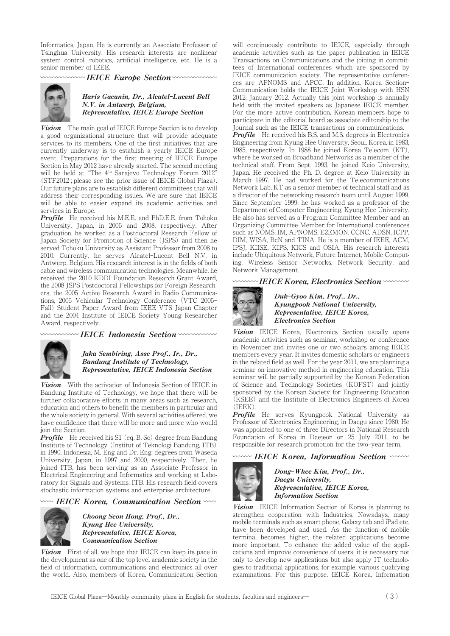Informatics, Japan. He is currently an Associate Professor of Tsinghua University. His research interests are nonlinear system control, robotics, artificial intelligence, etc. He is a senior member of IEEE.



senior member of IEEE.<br>~~~~~~~~~*IEICE Europe Section* ~~~~~~~~~~

Haris Gacanin, Dr., Alcatel**-**Lucent Bell N.V. in Antwerp, Belgium, Representative, IEICE Europe Section

Vision The main goal of IEICE Europe Section is to develop a good organizational structure that will provide adequate services to its members. One of the first initiatives that are currently underway is to establish a yearly IEICE Europe event. Preparations for the first meeting of IEICE Europe Section in May 2012 have already started. The second meeting will be held at "The 4<sup>th</sup> Sarajevo Technology Forum 2012" (STF2012 ; please see the prior issue of IEICE Global Plaza). Our future plans are to establish different committees that will address their corresponding issues. We are sure that IEICE will be able to easier expand its academic activities and services in Europe.

Profile He received his M.E.E. and PhD.E.E. from Tohoku University, Japan, in 2005 and 2008, respectively. After graduation, he worked as a Postdoctoral Research Fellow of Japan Society for Promotion of Science (JSPS) and then he served Tohoku University as Assistant Professor from 2008 to 2010. Currently, he serves Alcatel-Lucent Bell N.V. in Antwerp, Belgium. His research interest is in the fields of both cable and wireless communication technologies. Meanwhile, he received the 2010 KDDI Foundation Research Grant Award, the 2008 JSPS Postdoctoral Fellowships for Foreign Researchers, the 2005 Active Research Award in Radio Communications, 2005 Vehicular Technology Conference (VTC 2005- Fall) Student Paper Award from IEEE VTS Japan Chapter and the 2004 Institute of IEICE Society Young Researcher Award, respectively.

## ㍇㍇㍇㍇㍇㍇ ㍇㍇㍇㍇㍇㍇ IEICE Indonesia Section



Jaka Sembiring, Assc Prof., Ir., Dr., Bandung Institute of Technology, Representative, IEICE Indonesia Section

Vision With the activation of Indonesia Section of IEICE in Bandung Institute of Technology, we hope that there will be further collaborative efforts in many areas such as research, education and others to benefit the members in particular and the whole society in general. With several activities offered, we have confidence that there will be more and more who would join the Section.

**Profile** He received his S1 (eq. B. Sc) degree from Bandung Institute of Technology (Institut of Teknologi Bandung, ITB) in 1990, Indonesia, M. Eng and Dr. Eng. degrees from Waseda University, Japan, in 1997 and 2000, respectively. Then, he joined ITB, has been serving as an Associate Professor in Electrical Engineering and Informatics and working at Laboratory for Signals and Systems, ITB. His research field covers stochastic information systems and enterprise architecture.

## ㍇㍇ ㍇㍇ IEICE Korea, Communication Section



Choong Seon Hong, Prof., Dr., Kyung Hee University, Representative, IEICE Korea, Communication Section

Vision First of all, we hope that IEICE can keep its pace in the development as one of the top level academic society in the field of information, communications and electronics all over the world. Also, members of Korea, Communication Section will continuously contribute to IEICE, especially through academic activities such as the paper publication in IEICE Transactions on Communications and the joining in committees of International conferences which are sponsored by IEICE communication society. The representative conferences are APNOMS and APCC. In addition, Korea Section-Communication holds the IEICE Joint Workshop with HSN 2012, January 2012. Actually this joint workshop is annually held with the invited speakers as Japanese IEICE member. For the more active contribution, Korean members hope to participate in the editorial board as associate editorship to the Journal such as the IEICE transactions on communications.

Profile He received his B.S. and M.S. degrees in Electronics Engineering from Kyung Hee University, Seoul, Korea, in 1983, 1985, respectively. In 1988 he joined Korea Telecom (KT), where he worked on Broadband Networks as a member of the technical staff. From Sept. 1993, he joined Keio University, Japan. He received the Ph. D. degree at Keio University in March 1997. He had worked for the Telecommunications Network Lab, KT as a senior member of technical staff and as a director of the networking research team until August 1999. Since September 1999, he has worked as a professor of the Department of Computer Engineering, Kyung Hee University. He also has served as a Program Committee Member and an Organizing Committee Member for International conferences such as NOMS, IM, APNOMS, E2EMON, CCNC, ADSN, ICPP, DIM, WISA, BcN and TINA. He is a member of IEEE, ACM, IPSJ, KIISE, KIPS, KICS and OSIA. His research interests include Ubiquitous Network, Future Internet, Mobile Computing, Wireless Sensor Networks, Network Security, and Network Management.

## Network Management.<br>www.*IEICE Korea, Electronics Section* www.



Duk**-**Gyoo Kim, Prof., Dr., Kyungpook National University, Representative, IEICE Korea, Electronics Section

Vision IEICE Korea, Electronics Section usually opens academic activities such as seminar, workshop or conference in November and invites one or two scholars among IEICE members every year. It invites domestic scholars or engineers in the related field as well. For the year 2011, we are planning a seminar on innovative method in engineering education. This seminar will be partially supported by the Korean Federation of Science and Technology Societies (KOFST) and jointly sponsored by the Korean Society for Engineering Education (KSEE) and the Institute of Electronics Engineers of Korea (IEEK).

Profile He serves Kyungpook National University as Professor of Electronics Engineering, in Daegu since 1980. He was appointed to one of three Directors in National Research Foundation of Korea in Daejeon on 25 July 2011, to be responsible for research promotion for the two-year term.

## $\sim$  IEICE Korea, Information Section  $\sim$



Dong**-**Whee Kim, Prof., Dr., Daegu University, Representative, IEICE Korea, Information Section

Vision IEICE Information Section of Korea is planning to strengthen cooperation with Industries. Nowadays, many mobile terminals such as smart phone, Galaxy tab and iPad etc. have been developed and used. As the function of mobile terminal becomes higher, the related applications become more important. To enhance the added value of the applications and improve convenience of users, it is necessary not only to develop new applications but also apply IT technologies to traditional applications, for example, various qualifying examinations. For this purpose, IEICE Korea, Information